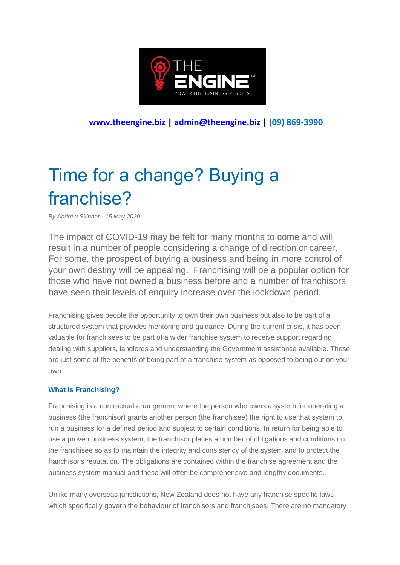

**[www.theengine.biz](http://www.theengine.biz/) | [admin@theengine.biz](mailto:admin@theengine.biz) | (09) 869-3990**

# Time for a change? Buying a franchise?

*By Andrew Skinner - 15 May 2020*

The impact of COVID-19 may be felt for many months to come and will result in a number of people considering a change of direction or career. For some, the prospect of buying a business and being in more control of your own destiny will be appealing. Franchising will be a popular option for those who have not owned a business before and a number of franchisors have seen their levels of enquiry increase over the lockdown period.

Franchising gives people the opportunity to own their own business but also to be part of a structured system that provides mentoring and guidance. During the current crisis, it has been valuable for franchisees to be part of a wider franchise system to receive support regarding dealing with suppliers, landlords and understanding the Government assistance available. These are just some of the benefits of being part of a franchise system as opposed to being out on your own.

## **What is Franchising?**

Franchising is a contractual arrangement where the person who owns a system for operating a business (the franchisor) grants another person (the franchisee) the right to use that system to run a business for a defined period and subject to certain conditions. In return for being able to use a proven business system, the franchisor places a number of obligations and conditions on the franchisee so as to maintain the integrity and consistency of the system and to protect the franchisor's reputation. The obligations are contained within the franchise agreement and the business system manual and these will often be comprehensive and lengthy documents.

Unlike many overseas jurisdictions, New Zealand does not have any franchise specific laws which specifically govern the behaviour of franchisors and franchisees. There are no mandatory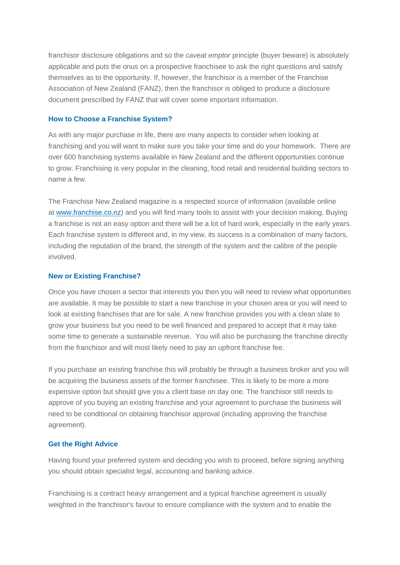franchisor disclosure obligations and so the *caveat emptor* principle (buyer beware) is absolutely applicable and puts the onus on a prospective franchisee to ask the right questions and satisfy themselves as to the opportunity. If, however, the franchisor is a member of the Franchise Association of New Zealand (FANZ), then the franchisor is obliged to produce a disclosure document prescribed by FANZ that will cover some important information.

#### **How to Choose a Franchise System?**

As with any major purchase in life, there are many aspects to consider when looking at franchising and you will want to make sure you take your time and do your homework. There are over 600 franchising systems available in New Zealand and the different opportunities continue to grow. Franchising is very popular in the cleaning, food retail and residential building sectors to name a few.

The Franchise New Zealand magazine is a respected source of information (available online at [www.franchise.co.nz\)](http://www.franchise.co.nz/) and you will find many tools to assist with your decision making. Buying a franchise is not an easy option and there will be a lot of hard work, especially in the early years. Each franchise system is different and, in my view, its success is a combination of many factors, including the reputation of the brand, the strength of the system and the calibre of the people involved.

#### **New or Existing Franchise?**

Once you have chosen a sector that interests you then you will need to review what opportunities are available. It may be possible to start a new franchise in your chosen area or you will need to look at existing franchises that are for sale. A new franchise provides you with a clean slate to grow your business but you need to be well financed and prepared to accept that it may take some time to generate a sustainable revenue. You will also be purchasing the franchise directly from the franchisor and will most likely need to pay an upfront franchise fee.

If you purchase an existing franchise this will probably be through a business broker and you will be acquiring the business assets of the former franchisee. This is likely to be more a more expensive option but should give you a client base on day one. The franchisor still needs to approve of you buying an existing franchise and your agreement to purchase the business will need to be conditional on obtaining franchisor approval (including approving the franchise agreement).

### **Get the Right Advice**

Having found your preferred system and deciding you wish to proceed, before signing anything you should obtain specialist legal, accounting and banking advice.

Franchising is a contract heavy arrangement and a typical franchise agreement is usually weighted in the franchisor's favour to ensure compliance with the system and to enable the